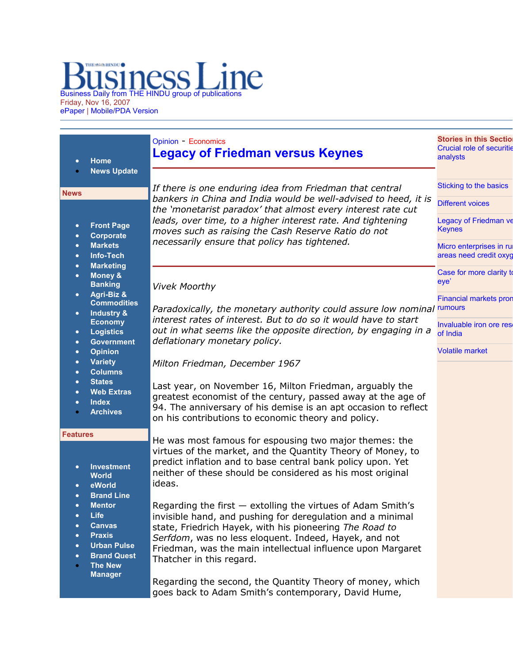## Business Daily from THE HINDU group of publications Friday, Nov 16, 2007

ePaper | Mobile/PDA Version

|                                                                                           | <b>Home</b>                                                                                                                                                                                                                                                                                                                                                           | <b>Opinion - Economics</b><br><b>Legacy of Friedman versus Keynes</b>                                                                                                                                                                                                                                                                                                                                                                                                                                                                                                                                                                                                                                                        | <b>Stories in this Sectio</b><br><b>Crucial role of securitie</b><br>analysts |
|-------------------------------------------------------------------------------------------|-----------------------------------------------------------------------------------------------------------------------------------------------------------------------------------------------------------------------------------------------------------------------------------------------------------------------------------------------------------------------|------------------------------------------------------------------------------------------------------------------------------------------------------------------------------------------------------------------------------------------------------------------------------------------------------------------------------------------------------------------------------------------------------------------------------------------------------------------------------------------------------------------------------------------------------------------------------------------------------------------------------------------------------------------------------------------------------------------------------|-------------------------------------------------------------------------------|
|                                                                                           | <b>News Update</b>                                                                                                                                                                                                                                                                                                                                                    | If there is one enduring idea from Friedman that central                                                                                                                                                                                                                                                                                                                                                                                                                                                                                                                                                                                                                                                                     | Sticking to the basics                                                        |
| <b>News</b><br>$\bullet$<br>$\bullet$<br>$\bullet$<br>$\bullet$<br>$\bullet$<br>$\bullet$ |                                                                                                                                                                                                                                                                                                                                                                       | bankers in China and India would be well-advised to heed, it is                                                                                                                                                                                                                                                                                                                                                                                                                                                                                                                                                                                                                                                              | <b>Different voices</b>                                                       |
|                                                                                           | <b>Front Page</b><br>Corporate<br><b>Markets</b><br>Info-Tech<br><b>Marketing</b><br><b>Money &amp;</b><br><b>Banking</b><br>Agri-Biz &<br><b>Commodities</b><br>Industry &<br><b>Economy</b><br><b>Logistics</b><br><b>Government</b><br><b>Opinion</b><br><b>Variety</b><br><b>Columns</b><br><b>States</b><br><b>Web Extras</b><br><b>Index</b><br><b>Archives</b> | the 'monetarist paradox' that almost every interest rate cut<br>leads, over time, to a higher interest rate. And tightening<br>moves such as raising the Cash Reserve Ratio do not<br>necessarily ensure that policy has tightened.                                                                                                                                                                                                                                                                                                                                                                                                                                                                                          | Legacy of Friedman ve<br><b>Keynes</b>                                        |
|                                                                                           |                                                                                                                                                                                                                                                                                                                                                                       |                                                                                                                                                                                                                                                                                                                                                                                                                                                                                                                                                                                                                                                                                                                              | Micro enterprises in ru<br>areas need credit oxyg                             |
|                                                                                           |                                                                                                                                                                                                                                                                                                                                                                       | <b>Vivek Moorthy</b>                                                                                                                                                                                                                                                                                                                                                                                                                                                                                                                                                                                                                                                                                                         | Case for more clarity to<br>eye'                                              |
| $\bullet$<br>$\bullet$                                                                    |                                                                                                                                                                                                                                                                                                                                                                       | Paradoxically, the monetary authority could assure low nominal rumours<br>interest rates of interest. But to do so it would have to start<br>out in what seems like the opposite direction, by engaging in a<br>deflationary monetary policy.                                                                                                                                                                                                                                                                                                                                                                                                                                                                                | <b>Financial markets pron</b>                                                 |
| $\bullet$<br>$\bullet$<br>$\bullet$<br>$\bullet$<br>$\bullet$<br>$\bullet$<br>$\bullet$   |                                                                                                                                                                                                                                                                                                                                                                       |                                                                                                                                                                                                                                                                                                                                                                                                                                                                                                                                                                                                                                                                                                                              | Invaluable iron ore res-<br>of India                                          |
|                                                                                           |                                                                                                                                                                                                                                                                                                                                                                       | Milton Friedman, December 1967                                                                                                                                                                                                                                                                                                                                                                                                                                                                                                                                                                                                                                                                                               | <b>Volatile market</b>                                                        |
|                                                                                           |                                                                                                                                                                                                                                                                                                                                                                       | Last year, on November 16, Milton Friedman, arguably the<br>greatest economist of the century, passed away at the age of<br>94. The anniversary of his demise is an apt occasion to reflect<br>on his contributions to economic theory and policy.                                                                                                                                                                                                                                                                                                                                                                                                                                                                           |                                                                               |
| <b>Features</b><br>$\bullet$<br>$\bullet$<br>$\bullet$<br>٠<br>$\bullet$                  | <b>Investment</b><br><b>World</b><br>eWorld<br><b>Brand Line</b><br><b>Mentor</b><br>Life<br><b>Canvas</b><br><b>Praxis</b><br><b>Urban Pulse</b><br><b>Brand Quest</b><br><b>The New</b><br><b>Manager</b>                                                                                                                                                           | He was most famous for espousing two major themes: the<br>virtues of the market, and the Quantity Theory of Money, to<br>predict inflation and to base central bank policy upon. Yet<br>neither of these should be considered as his most original<br>ideas.<br>Regarding the first - extolling the virtues of Adam Smith's<br>invisible hand, and pushing for deregulation and a minimal<br>state, Friedrich Hayek, with his pioneering The Road to<br>Serfdom, was no less eloquent. Indeed, Hayek, and not<br>Friedman, was the main intellectual influence upon Margaret<br>Thatcher in this regard.<br>Regarding the second, the Quantity Theory of money, which<br>goes back to Adam Smith's contemporary, David Hume, |                                                                               |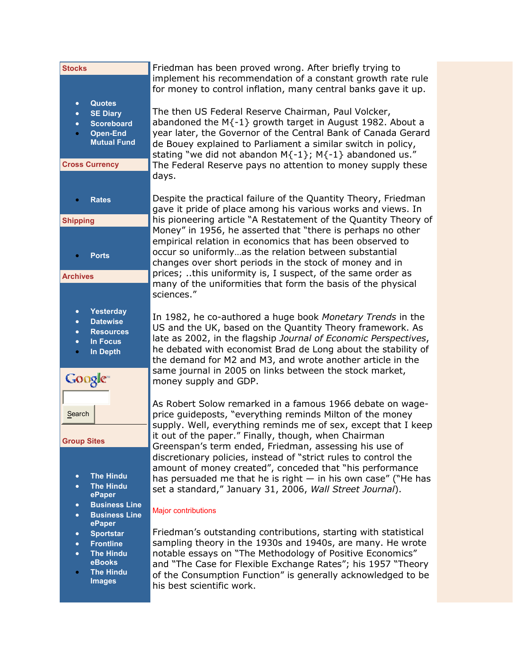| <b>Stocks</b>                                                                                                                                                       | Friedman has been proved wrong. After briefly trying to<br>implement his recommendation of a constant growth rate rule<br>for money to control inflation, many central banks gave it up.                                                                                                                                                                                                                      |  |
|---------------------------------------------------------------------------------------------------------------------------------------------------------------------|---------------------------------------------------------------------------------------------------------------------------------------------------------------------------------------------------------------------------------------------------------------------------------------------------------------------------------------------------------------------------------------------------------------|--|
| <b>Quotes</b><br>$\bullet$<br><b>SE Diary</b><br>$\bullet$<br><b>Scoreboard</b><br>$\bullet$<br><b>Open-End</b><br>۰<br><b>Mutual Fund</b><br><b>Cross Currency</b> | The then US Federal Reserve Chairman, Paul Volcker,<br>abandoned the $M_{-1}$ growth target in August 1982. About a<br>year later, the Governor of the Central Bank of Canada Gerard<br>de Bouey explained to Parliament a similar switch in policy,<br>stating "we did not abandon $M\{-1\}$ ; $M\{-1\}$ abandoned us."<br>The Federal Reserve pays no attention to money supply these                       |  |
|                                                                                                                                                                     | days.                                                                                                                                                                                                                                                                                                                                                                                                         |  |
| <b>Rates</b><br>$\bullet$                                                                                                                                           | Despite the practical failure of the Quantity Theory, Friedman<br>gave it pride of place among his various works and views. In                                                                                                                                                                                                                                                                                |  |
| <b>Shipping</b><br><b>Ports</b><br><b>Archives</b>                                                                                                                  | his pioneering article "A Restatement of the Quantity Theory of<br>Money" in 1956, he asserted that "there is perhaps no other<br>empirical relation in economics that has been observed to<br>occur so uniformlyas the relation between substantial<br>changes over short periods in the stock of money and in<br>prices; this uniformity is, I suspect, of the same order as                                |  |
|                                                                                                                                                                     | many of the uniformities that form the basis of the physical<br>sciences."                                                                                                                                                                                                                                                                                                                                    |  |
| Yesterday<br>$\bullet$<br><b>Datewise</b><br>$\bullet$<br><b>Resources</b><br>$\bullet$<br><b>In Focus</b><br>$\bullet$<br>In Depth<br>$\bullet$<br>Google          | In 1982, he co-authored a huge book Monetary Trends in the<br>US and the UK, based on the Quantity Theory framework. As<br>late as 2002, in the flagship Journal of Economic Perspectives,<br>he debated with economist Brad de Long about the stability of<br>the demand for M2 and M3, and wrote another article in the<br>same journal in 2005 on links between the stock market,<br>money supply and GDP. |  |
| Search                                                                                                                                                              | As Robert Solow remarked in a famous 1966 debate on wage-<br>price guideposts, "everything reminds Milton of the money<br>supply. Well, everything reminds me of sex, except that I keep<br>it out of the paper." Finally, though, when Chairman                                                                                                                                                              |  |
| <b>Group Sites</b><br><b>The Hindu</b><br>$\bullet$<br><b>The Hindu</b><br>$\bullet$<br>ePaper                                                                      | Greenspan's term ended, Friedman, assessing his use of<br>discretionary policies, instead of "strict rules to control the<br>amount of money created", conceded that "his performance<br>has persuaded me that he is right $-$ in his own case" ("He has<br>set a standard," January 31, 2006, Wall Street Journal).                                                                                          |  |
| <b>Business Line</b><br>$\bullet$<br><b>Business Line</b><br>$\bullet$                                                                                              | <b>Major contributions</b>                                                                                                                                                                                                                                                                                                                                                                                    |  |
| ePaper<br><b>Sportstar</b><br>$\bullet$<br><b>Frontline</b><br>$\bullet$<br><b>The Hindu</b><br>$\bullet$<br>eBooks<br><b>The Hindu</b><br>۰<br><b>Images</b>       | Friedman's outstanding contributions, starting with statistical<br>sampling theory in the 1930s and 1940s, are many. He wrote<br>notable essays on "The Methodology of Positive Economics"<br>and "The Case for Flexible Exchange Rates"; his 1957 "Theory<br>of the Consumption Function" is generally acknowledged to be<br>his best scientific work.                                                       |  |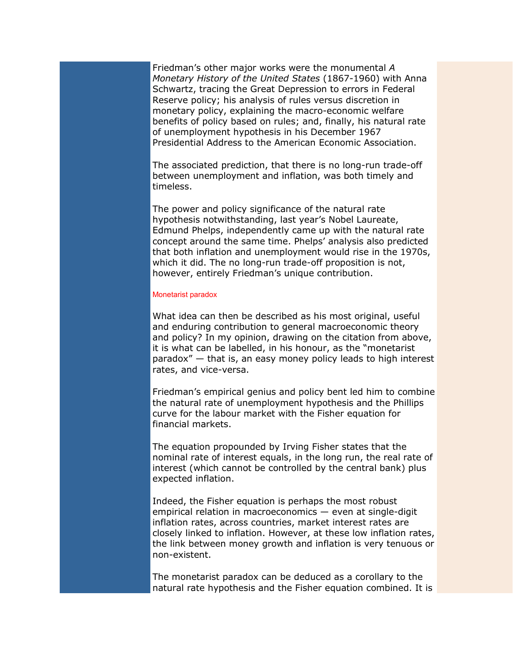Friedman's other major works were the monumental A Monetary History of the United States (1867-1960) with Anna Schwartz, tracing the Great Depression to errors in Federal Reserve policy; his analysis of rules versus discretion in monetary policy, explaining the macro-economic welfare benefits of policy based on rules; and, finally, his natural rate of unemployment hypothesis in his December 1967 Presidential Address to the American Economic Association.

The associated prediction, that there is no long-run trade-off between unemployment and inflation, was both timely and timeless.

The power and policy significance of the natural rate hypothesis notwithstanding, last year's Nobel Laureate, Edmund Phelps, independently came up with the natural rate concept around the same time. Phelps' analysis also predicted that both inflation and unemployment would rise in the 1970s, which it did. The no long-run trade-off proposition is not, however, entirely Friedman's unique contribution.

## Monetarist paradox

What idea can then be described as his most original, useful and enduring contribution to general macroeconomic theory and policy? In my opinion, drawing on the citation from above, it is what can be labelled, in his honour, as the "monetarist paradox" — that is, an easy money policy leads to high interest rates, and vice-versa.

Friedman's empirical genius and policy bent led him to combine the natural rate of unemployment hypothesis and the Phillips curve for the labour market with the Fisher equation for financial markets.

The equation propounded by Irving Fisher states that the nominal rate of interest equals, in the long run, the real rate of interest (which cannot be controlled by the central bank) plus expected inflation.

Indeed, the Fisher equation is perhaps the most robust empirical relation in macroeconomics — even at single-digit inflation rates, across countries, market interest rates are closely linked to inflation. However, at these low inflation rates, the link between money growth and inflation is very tenuous or non-existent.

The monetarist paradox can be deduced as a corollary to the natural rate hypothesis and the Fisher equation combined. It is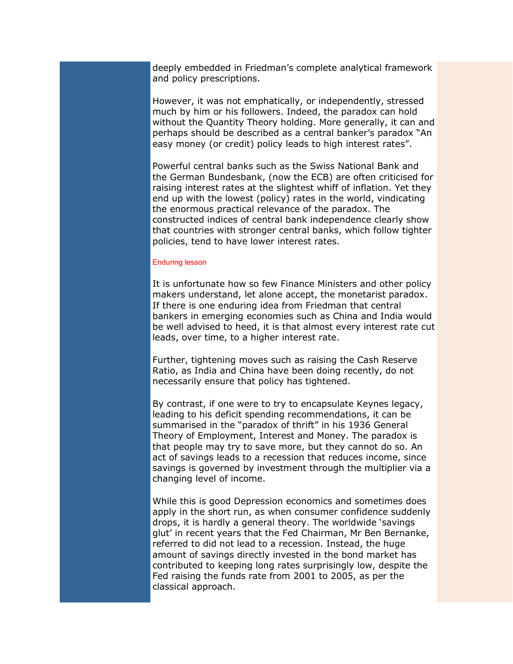deeply embedded in Friedman's complete analytical framework and policy prescriptions.

However, it was not emphatically, or independently, stressed much by him or his followers. Indeed, the paradox can hold without the Quantity Theory holding. More generally, it can and perhaps should be described as a central banker's paradox "An easy money (or credit) policy leads to high interest rates".

Powerful central banks such as the Swiss National Bank and the German Bundesbank, (now the ECB) are often criticised for raising interest rates at the slightest whiff of inflation. Yet they end up with the lowest (policy) rates in the world, vindicating the enormous practical relevance of the paradox. The constructed indices of central bank independence clearly show that countries with stronger central banks, which follow tighter policies, tend to have lower interest rates.

## Enduring lesson

It is unfortunate how so few Finance Ministers and other policy makers understand, let alone accept, the monetarist paradox. If there is one enduring idea from Friedman that central bankers in emerging economies such as China and India would be well advised to heed, it is that almost every interest rate cut leads, over time, to a higher interest rate.

Further, tightening moves such as raising the Cash Reserve Ratio, as India and China have been doing recently, do not necessarily ensure that policy has tightened.

By contrast, if one were to try to encapsulate Keynes legacy, leading to his deficit spending recommendations, it can be summarised in the "paradox of thrift" in his 1936 General Theory of Employment, Interest and Money. The paradox is that people may try to save more, but they cannot do so. An act of savings leads to a recession that reduces income, since savings is governed by investment through the multiplier via a changing level of income.

While this is good Depression economics and sometimes does apply in the short run, as when consumer confidence suddenly drops, it is hardly a general theory. The worldwide 'savings glut' in recent years that the Fed Chairman, Mr Ben Bernanke, referred to did not lead to a recession. Instead, the huge amount of savings directly invested in the bond market has contributed to keeping long rates surprisingly low, despite the Fed raising the funds rate from 2001 to 2005, as per the classical approach.